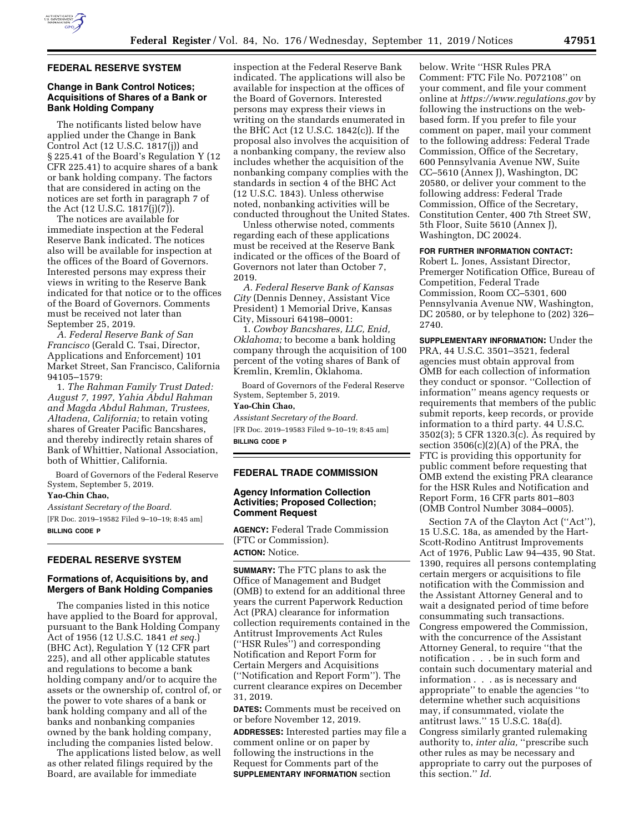

### **FEDERAL RESERVE SYSTEM**

## **Change in Bank Control Notices; Acquisitions of Shares of a Bank or Bank Holding Company**

The notificants listed below have applied under the Change in Bank Control Act (12 U.S.C. 1817(j)) and § 225.41 of the Board's Regulation Y (12 CFR 225.41) to acquire shares of a bank or bank holding company. The factors that are considered in acting on the notices are set forth in paragraph 7 of the Act (12 U.S.C. 1817(j)(7)).

The notices are available for immediate inspection at the Federal Reserve Bank indicated. The notices also will be available for inspection at the offices of the Board of Governors. Interested persons may express their views in writing to the Reserve Bank indicated for that notice or to the offices of the Board of Governors. Comments must be received not later than September 25, 2019.

*A. Federal Reserve Bank of San Francisco* (Gerald C. Tsai, Director, Applications and Enforcement) 101 Market Street, San Francisco, California 94105–1579:

1. *The Rahman Family Trust Dated: August 7, 1997, Yahia Abdul Rahman and Magda Abdul Rahman, Trustees, Altadena, California;* to retain voting shares of Greater Pacific Bancshares, and thereby indirectly retain shares of Bank of Whittier, National Association, both of Whittier, California.

Board of Governors of the Federal Reserve System, September 5, 2019.

### **Yao-Chin Chao,**

*Assistant Secretary of the Board.*  [FR Doc. 2019–19582 Filed 9–10–19; 8:45 am] **BILLING CODE P** 

# **FEDERAL RESERVE SYSTEM**

## **Formations of, Acquisitions by, and Mergers of Bank Holding Companies**

The companies listed in this notice have applied to the Board for approval, pursuant to the Bank Holding Company Act of 1956 (12 U.S.C. 1841 *et seq.*) (BHC Act), Regulation Y (12 CFR part 225), and all other applicable statutes and regulations to become a bank holding company and/or to acquire the assets or the ownership of, control of, or the power to vote shares of a bank or bank holding company and all of the banks and nonbanking companies owned by the bank holding company, including the companies listed below.

The applications listed below, as well as other related filings required by the Board, are available for immediate

inspection at the Federal Reserve Bank indicated. The applications will also be available for inspection at the offices of the Board of Governors. Interested persons may express their views in writing on the standards enumerated in the BHC Act (12 U.S.C. 1842(c)). If the proposal also involves the acquisition of a nonbanking company, the review also includes whether the acquisition of the nonbanking company complies with the standards in section 4 of the BHC Act (12 U.S.C. 1843). Unless otherwise noted, nonbanking activities will be conducted throughout the United States.

Unless otherwise noted, comments regarding each of these applications must be received at the Reserve Bank indicated or the offices of the Board of Governors not later than October 7, 2019.

*A. Federal Reserve Bank of Kansas City* (Dennis Denney, Assistant Vice President) 1 Memorial Drive, Kansas City, Missouri 64198–0001:

1. *Cowboy Bancshares, LLC, Enid, Oklahoma;* to become a bank holding company through the acquisition of 100 percent of the voting shares of Bank of Kremlin, Kremlin, Oklahoma.

Board of Governors of the Federal Reserve System, September 5, 2019.

## **Yao-Chin Chao,**

*Assistant Secretary of the Board.*  [FR Doc. 2019–19583 Filed 9–10–19; 8:45 am] **BILLING CODE P** 

### **FEDERAL TRADE COMMISSION**

## **Agency Information Collection Activities; Proposed Collection; Comment Request**

**AGENCY:** Federal Trade Commission (FTC or Commission). **ACTION:** Notice.

**SUMMARY:** The FTC plans to ask the Office of Management and Budget (OMB) to extend for an additional three years the current Paperwork Reduction Act (PRA) clearance for information collection requirements contained in the Antitrust Improvements Act Rules (''HSR Rules'') and corresponding Notification and Report Form for Certain Mergers and Acquisitions (''Notification and Report Form''). The current clearance expires on December 31, 2019.

**DATES:** Comments must be received on or before November 12, 2019.

**ADDRESSES:** Interested parties may file a comment online or on paper by following the instructions in the Request for Comments part of the **SUPPLEMENTARY INFORMATION** section

below. Write ''HSR Rules PRA Comment: FTC File No. P072108'' on your comment, and file your comment online at *<https://www.regulations.gov>* by following the instructions on the webbased form. If you prefer to file your comment on paper, mail your comment to the following address: Federal Trade Commission, Office of the Secretary, 600 Pennsylvania Avenue NW, Suite CC–5610 (Annex J), Washington, DC 20580, or deliver your comment to the following address: Federal Trade Commission, Office of the Secretary, Constitution Center, 400 7th Street SW, 5th Floor, Suite 5610 (Annex J), Washington, DC 20024.

### **FOR FURTHER INFORMATION CONTACT:**

Robert L. Jones, Assistant Director, Premerger Notification Office, Bureau of Competition, Federal Trade Commission, Room CC–5301, 600 Pennsylvania Avenue NW, Washington, DC 20580, or by telephone to (202) 326– 2740.

**SUPPLEMENTARY INFORMATION:** Under the PRA, 44 U.S.C. 3501–3521, federal agencies must obtain approval from OMB for each collection of information they conduct or sponsor. ''Collection of information'' means agency requests or requirements that members of the public submit reports, keep records, or provide information to a third party. 44 U.S.C. 3502(3); 5 CFR 1320.3(c). As required by section 3506(c)(2)(A) of the PRA, the FTC is providing this opportunity for public comment before requesting that OMB extend the existing PRA clearance for the HSR Rules and Notification and Report Form, 16 CFR parts 801–803 (OMB Control Number 3084–0005).

Section 7A of the Clayton Act (''Act''), 15 U.S.C. 18a, as amended by the Hart-Scott-Rodino Antitrust Improvements Act of 1976, Public Law 94–435, 90 Stat. 1390, requires all persons contemplating certain mergers or acquisitions to file notification with the Commission and the Assistant Attorney General and to wait a designated period of time before consummating such transactions. Congress empowered the Commission, with the concurrence of the Assistant Attorney General, to require ''that the notification . . . be in such form and contain such documentary material and information . . . as is necessary and appropriate'' to enable the agencies ''to determine whether such acquisitions may, if consummated, violate the antitrust laws.'' 15 U.S.C. 18a(d). Congress similarly granted rulemaking authority to, *inter alia*, "prescribe such other rules as may be necessary and appropriate to carry out the purposes of this section.'' *Id.*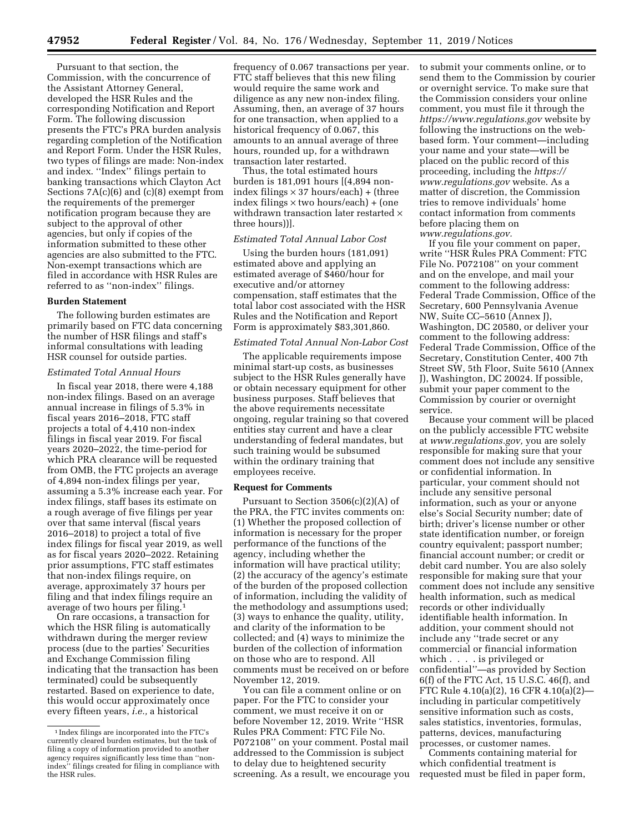Pursuant to that section, the Commission, with the concurrence of the Assistant Attorney General, developed the HSR Rules and the corresponding Notification and Report Form. The following discussion presents the FTC's PRA burden analysis regarding completion of the Notification and Report Form. Under the HSR Rules, two types of filings are made: Non-index and index. ''Index'' filings pertain to banking transactions which Clayton Act Sections 7A(c)(6) and (c)(8) exempt from the requirements of the premerger notification program because they are subject to the approval of other agencies, but only if copies of the information submitted to these other agencies are also submitted to the FTC. Non-exempt transactions which are filed in accordance with HSR Rules are referred to as ''non-index'' filings.

#### **Burden Statement**

The following burden estimates are primarily based on FTC data concerning the number of HSR filings and staff's informal consultations with leading HSR counsel for outside parties.

#### *Estimated Total Annual Hours*

In fiscal year 2018, there were 4,188 non-index filings. Based on an average annual increase in filings of 5.3% in fiscal years 2016–2018, FTC staff projects a total of 4,410 non-index filings in fiscal year 2019. For fiscal years 2020–2022, the time-period for which PRA clearance will be requested from OMB, the FTC projects an average of 4,894 non-index filings per year, assuming a 5.3% increase each year. For index filings, staff bases its estimate on a rough average of five filings per year over that same interval (fiscal years 2016–2018) to project a total of five index filings for fiscal year 2019, as well as for fiscal years 2020–2022. Retaining prior assumptions, FTC staff estimates that non-index filings require, on average, approximately 37 hours per filing and that index filings require an average of two hours per filing.1

On rare occasions, a transaction for which the HSR filing is automatically withdrawn during the merger review process (due to the parties' Securities and Exchange Commission filing indicating that the transaction has been terminated) could be subsequently restarted. Based on experience to date, this would occur approximately once every fifteen years, *i.e.,* a historical

frequency of 0.067 transactions per year. FTC staff believes that this new filing would require the same work and diligence as any new non-index filing. Assuming, then, an average of 37 hours for one transaction, when applied to a historical frequency of 0.067, this amounts to an annual average of three hours, rounded up, for a withdrawn transaction later restarted.

Thus, the total estimated hours burden is 181,091 hours [(4,894 nonindex filings  $\times$  37 hours/each) + (three index filings × two hours/each) + (one withdrawn transaction later restarted  $\times$ three hours))].

### *Estimated Total Annual Labor Cost*

Using the burden hours (181,091) estimated above and applying an estimated average of \$460/hour for executive and/or attorney compensation, staff estimates that the total labor cost associated with the HSR Rules and the Notification and Report Form is approximately \$83,301,860.

### *Estimated Total Annual Non-Labor Cost*

The applicable requirements impose minimal start-up costs, as businesses subject to the HSR Rules generally have or obtain necessary equipment for other business purposes. Staff believes that the above requirements necessitate ongoing, regular training so that covered entities stay current and have a clear understanding of federal mandates, but such training would be subsumed within the ordinary training that employees receive.

### **Request for Comments**

Pursuant to Section 3506(c)(2)(A) of the PRA, the FTC invites comments on: (1) Whether the proposed collection of information is necessary for the proper performance of the functions of the agency, including whether the information will have practical utility; (2) the accuracy of the agency's estimate of the burden of the proposed collection of information, including the validity of the methodology and assumptions used; (3) ways to enhance the quality, utility, and clarity of the information to be collected; and (4) ways to minimize the burden of the collection of information on those who are to respond. All comments must be received on or before November 12, 2019.

You can file a comment online or on paper. For the FTC to consider your comment, we must receive it on or before November 12, 2019. Write ''HSR Rules PRA Comment: FTC File No. P072108'' on your comment. Postal mail addressed to the Commission is subject to delay due to heightened security screening. As a result, we encourage you to submit your comments online, or to send them to the Commission by courier or overnight service. To make sure that the Commission considers your online comment, you must file it through the *<https://www.regulations.gov>* website by following the instructions on the webbased form. Your comment—including your name and your state—will be placed on the public record of this proceeding, including the *[https://](https://www.regulations.gov) [www.regulations.gov](https://www.regulations.gov)* website. As a matter of discretion, the Commission tries to remove individuals' home contact information from comments before placing them on *[www.regulations.gov.](http://www.regulations.gov)* 

If you file your comment on paper, write ''HSR Rules PRA Comment: FTC File No. P072108'' on your comment and on the envelope, and mail your comment to the following address: Federal Trade Commission, Office of the Secretary, 600 Pennsylvania Avenue NW, Suite CC–5610 (Annex J), Washington, DC 20580, or deliver your comment to the following address: Federal Trade Commission, Office of the Secretary, Constitution Center, 400 7th Street SW, 5th Floor, Suite 5610 (Annex J), Washington, DC 20024. If possible, submit your paper comment to the Commission by courier or overnight service.

Because your comment will be placed on the publicly accessible FTC website at *[www.regulations.gov,](http://www.regulations.gov)* you are solely responsible for making sure that your comment does not include any sensitive or confidential information. In particular, your comment should not include any sensitive personal information, such as your or anyone else's Social Security number; date of birth; driver's license number or other state identification number, or foreign country equivalent; passport number; financial account number; or credit or debit card number. You are also solely responsible for making sure that your comment does not include any sensitive health information, such as medical records or other individually identifiable health information. In addition, your comment should not include any ''trade secret or any commercial or financial information which . . . . is privileged or confidential''—as provided by Section 6(f) of the FTC Act, 15 U.S.C. 46(f), and FTC Rule 4.10(a)(2), 16 CFR 4.10(a)(2) including in particular competitively sensitive information such as costs, sales statistics, inventories, formulas, patterns, devices, manufacturing processes, or customer names.

Comments containing material for which confidential treatment is requested must be filed in paper form,

<sup>1</sup> Index filings are incorporated into the FTC's currently cleared burden estimates, but the task of filing a copy of information provided to another agency requires significantly less time than ''nonindex'' filings created for filing in compliance with the HSR rules.